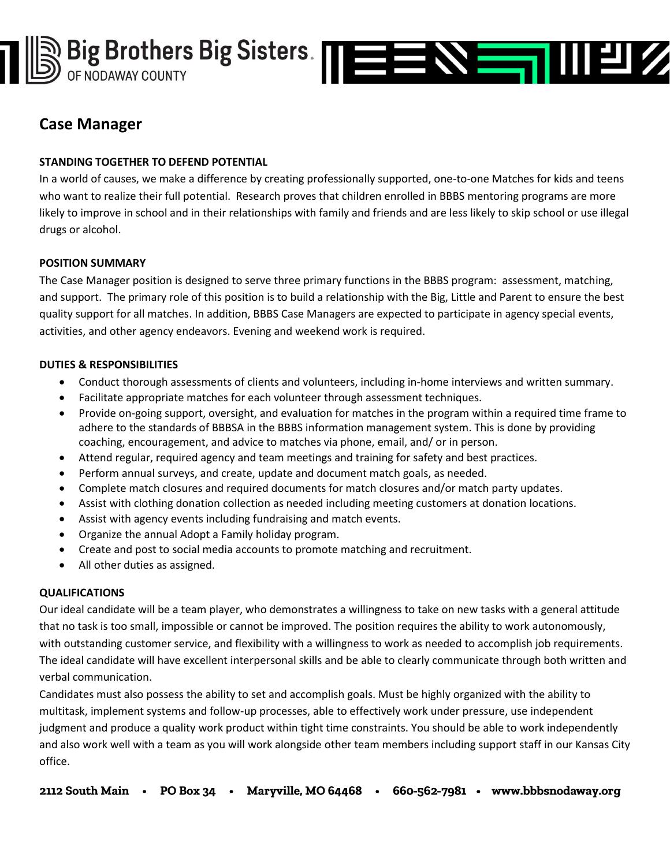

# **Case Manager**

# **STANDING TOGETHER TO DEFEND POTENTIAL**

In a world of causes, we make a difference by creating professionally supported, one-to-one Matches for kids and teens who want to realize their full potential. Research proves that children enrolled in BBBS mentoring programs are more likely to improve in school and in their relationships with family and friends and are less likely to skip school or use illegal drugs or alcohol.

## **POSITION SUMMARY**

The Case Manager position is designed to serve three primary functions in the BBBS program: assessment, matching, and support. The primary role of this position is to build a relationship with the Big, Little and Parent to ensure the best quality support for all matches. In addition, BBBS Case Managers are expected to participate in agency special events, activities, and other agency endeavors. Evening and weekend work is required.

## **DUTIES & RESPONSIBILITIES**

- Conduct thorough assessments of clients and volunteers, including in-home interviews and written summary.
- Facilitate appropriate matches for each volunteer through assessment techniques.
- Provide on-going support, oversight, and evaluation for matches in the program within a required time frame to adhere to the standards of BBBSA in the BBBS information management system. This is done by providing coaching, encouragement, and advice to matches via phone, email, and/ or in person.
- Attend regular, required agency and team meetings and training for safety and best practices.
- Perform annual surveys, and create, update and document match goals, as needed.
- Complete match closures and required documents for match closures and/or match party updates.
- Assist with clothing donation collection as needed including meeting customers at donation locations.
- Assist with agency events including fundraising and match events.
- Organize the annual Adopt a Family holiday program.
- Create and post to social media accounts to promote matching and recruitment.
- All other duties as assigned.

## **QUALIFICATIONS**

Our ideal candidate will be a team player, who demonstrates a willingness to take on new tasks with a general attitude that no task is too small, impossible or cannot be improved. The position requires the ability to work autonomously, with outstanding customer service, and flexibility with a willingness to work as needed to accomplish job requirements. The ideal candidate will have excellent interpersonal skills and be able to clearly communicate through both written and verbal communication.

Candidates must also possess the ability to set and accomplish goals. Must be highly organized with the ability to multitask, implement systems and follow-up processes, able to effectively work under pressure, use independent judgment and produce a quality work product within tight time constraints. You should be able to work independently and also work well with a team as you will work alongside other team members including support staff in our Kansas City office.